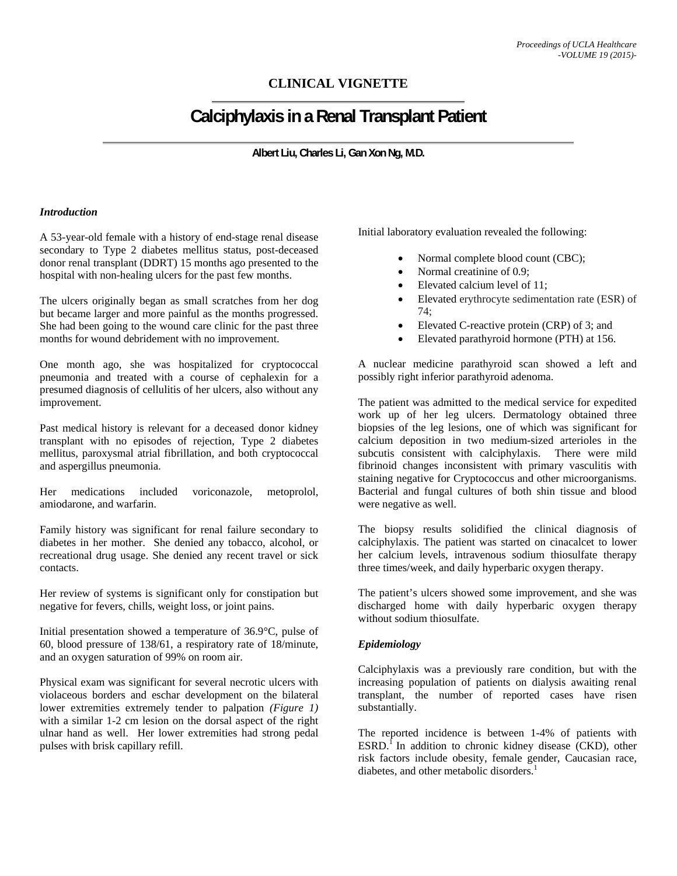# **CLINICAL VIGNETTE**

# **Calciphylaxis in a Renal Transplant Patient**

**Albert Liu, Charles Li, Gan Xon Ng, M.D.** 

#### *Introduction*

A 53-year-old female with a history of end-stage renal disease secondary to Type 2 diabetes mellitus status, post-deceased donor renal transplant (DDRT) 15 months ago presented to the hospital with non-healing ulcers for the past few months.

The ulcers originally began as small scratches from her dog but became larger and more painful as the months progressed. She had been going to the wound care clinic for the past three months for wound debridement with no improvement.

One month ago, she was hospitalized for cryptococcal pneumonia and treated with a course of cephalexin for a presumed diagnosis of cellulitis of her ulcers, also without any improvement.

Past medical history is relevant for a deceased donor kidney transplant with no episodes of rejection, Type 2 diabetes mellitus, paroxysmal atrial fibrillation, and both cryptococcal and aspergillus pneumonia.

Her medications included voriconazole, metoprolol, amiodarone, and warfarin.

Family history was significant for renal failure secondary to diabetes in her mother. She denied any tobacco, alcohol, or recreational drug usage. She denied any recent travel or sick contacts.

Her review of systems is significant only for constipation but negative for fevers, chills, weight loss, or joint pains.

Initial presentation showed a temperature of 36.9°C, pulse of 60, blood pressure of 138/61, a respiratory rate of 18/minute, and an oxygen saturation of 99% on room air.

Physical exam was significant for several necrotic ulcers with violaceous borders and eschar development on the bilateral lower extremities extremely tender to palpation *(Figure 1)* with a similar 1-2 cm lesion on the dorsal aspect of the right ulnar hand as well. Her lower extremities had strong pedal pulses with brisk capillary refill.

Initial laboratory evaluation revealed the following:

- Normal complete blood count (CBC);
- Normal creatinine of 0.9;
- Elevated calcium level of 11;
- Elevated erythrocyte sedimentation rate (ESR) of 74;
- Elevated C-reactive protein (CRP) of 3; and
- Elevated parathyroid hormone (PTH) at 156.

A nuclear medicine parathyroid scan showed a left and possibly right inferior parathyroid adenoma.

The patient was admitted to the medical service for expedited work up of her leg ulcers. Dermatology obtained three biopsies of the leg lesions, one of which was significant for calcium deposition in two medium-sized arterioles in the subcutis consistent with calciphylaxis. There were mild fibrinoid changes inconsistent with primary vasculitis with staining negative for Cryptococcus and other microorganisms. Bacterial and fungal cultures of both shin tissue and blood were negative as well.

The biopsy results solidified the clinical diagnosis of calciphylaxis. The patient was started on cinacalcet to lower her calcium levels, intravenous sodium thiosulfate therapy three times/week, and daily hyperbaric oxygen therapy.

The patient's ulcers showed some improvement, and she was discharged home with daily hyperbaric oxygen therapy without sodium thiosulfate.

### *Epidemiology*

Calciphylaxis was a previously rare condition, but with the increasing population of patients on dialysis awaiting renal transplant, the number of reported cases have risen substantially.

The reported incidence is between 1-4% of patients with  $ESRD<sup>1</sup>$  In addition to chronic kidney disease (CKD), other risk factors include obesity, female gender, Caucasian race, diabetes, and other metabolic disorders.<sup>1</sup>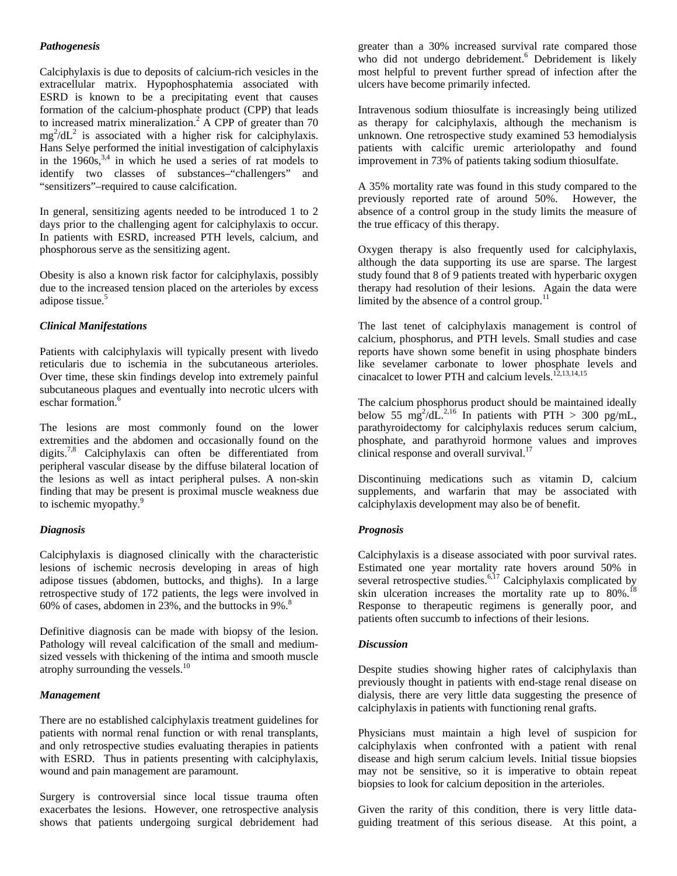## *Pathogenesis*

Calciphylaxis is due to deposits of calcium-rich vesicles in the extracellular matrix. Hypophosphatemia associated with ESRD is known to be a precipitating event that causes formation of the calcium-phosphate product (CPP) that leads to increased matrix mineralization.<sup>2</sup> A CPP of greater than  $70$  $mg^2/dL^2$  is associated with a higher risk for calciphylaxis. Hans Selye performed the initial investigation of calciphylaxis in the  $1960s<sup>3,4</sup>$  in which he used a series of rat models to identify two classes of substances–"challengers" and "sensitizers"–required to cause calcification.

In general, sensitizing agents needed to be introduced 1 to 2 days prior to the challenging agent for calciphylaxis to occur. In patients with ESRD, increased PTH levels, calcium, and phosphorous serve as the sensitizing agent.

Obesity is also a known risk factor for calciphylaxis, possibly due to the increased tension placed on the arterioles by excess adipose tissue.<sup>5</sup>

### *Clinical Manifestations*

Patients with calciphylaxis will typically present with livedo reticularis due to ischemia in the subcutaneous arterioles. Over time, these skin findings develop into extremely painful subcutaneous plaques and eventually into necrotic ulcers with eschar formation.<sup>6</sup>

The lesions are most commonly found on the lower extremities and the abdomen and occasionally found on the digits.<sup>7,8</sup> Calciphylaxis can often be differentiated from peripheral vascular disease by the diffuse bilateral location of the lesions as well as intact peripheral pulses. A non-skin finding that may be present is proximal muscle weakness due to ischemic myopathy.<sup>9</sup>

### *Diagnosis*

Calciphylaxis is diagnosed clinically with the characteristic lesions of ischemic necrosis developing in areas of high adipose tissues (abdomen, buttocks, and thighs). In a large retrospective study of 172 patients, the legs were involved in 60% of cases, abdomen in  $23%$ , and the buttocks in 9%.<sup>8</sup>

Definitive diagnosis can be made with biopsy of the lesion. Pathology will reveal calcification of the small and mediumsized vessels with thickening of the intima and smooth muscle atrophy surrounding the vessels.<sup>10</sup>

### *Management*

There are no established calciphylaxis treatment guidelines for patients with normal renal function or with renal transplants, and only retrospective studies evaluating therapies in patients with ESRD. Thus in patients presenting with calciphylaxis, wound and pain management are paramount.

Surgery is controversial since local tissue trauma often exacerbates the lesions. However, one retrospective analysis shows that patients undergoing surgical debridement had greater than a 30% increased survival rate compared those who did not undergo debridement.<sup>6</sup> Debridement is likely most helpful to prevent further spread of infection after the ulcers have become primarily infected.

Intravenous sodium thiosulfate is increasingly being utilized as therapy for calciphylaxis, although the mechanism is unknown. One retrospective study examined 53 hemodialysis patients with calcific uremic arteriolopathy and found improvement in 73% of patients taking sodium thiosulfate.

A 35% mortality rate was found in this study compared to the previously reported rate of around 50%. However, the absence of a control group in the study limits the measure of the true efficacy of this therapy.

Oxygen therapy is also frequently used for calciphylaxis, although the data supporting its use are sparse. The largest study found that 8 of 9 patients treated with hyperbaric oxygen therapy had resolution of their lesions. Again the data were limited by the absence of a control group. $<sup>1</sup>$ </sup>

The last tenet of calciphylaxis management is control of calcium, phosphorus, and PTH levels. Small studies and case reports have shown some benefit in using phosphate binders like sevelamer carbonate to lower phosphate levels and cinacalcet to lower PTH and calcium levels.<sup>12,13,14,15</sup>

The calcium phosphorus product should be maintained ideally below 55 mg<sup>2</sup>/dL.<sup>2,16</sup> In patients with PTH > 300 pg/mL, parathyroidectomy for calciphylaxis reduces serum calcium, phosphate, and parathyroid hormone values and improves clinical response and overall survival.<sup>17</sup>

Discontinuing medications such as vitamin D, calcium supplements, and warfarin that may be associated with calciphylaxis development may also be of benefit.

### *Prognosis*

Calciphylaxis is a disease associated with poor survival rates. Estimated one year mortality rate hovers around 50% in several retrospective studies.<sup>6,17</sup> Calciphylaxis complicated by skin ulceration increases the mortality rate up to  $80\%$ .<sup>18</sup> Response to therapeutic regimens is generally poor, and patients often succumb to infections of their lesions.

### *Discussion*

Despite studies showing higher rates of calciphylaxis than previously thought in patients with end-stage renal disease on dialysis, there are very little data suggesting the presence of calciphylaxis in patients with functioning renal grafts.

Physicians must maintain a high level of suspicion for calciphylaxis when confronted with a patient with renal disease and high serum calcium levels. Initial tissue biopsies may not be sensitive, so it is imperative to obtain repeat biopsies to look for calcium deposition in the arterioles.

Given the rarity of this condition, there is very little dataguiding treatment of this serious disease. At this point, a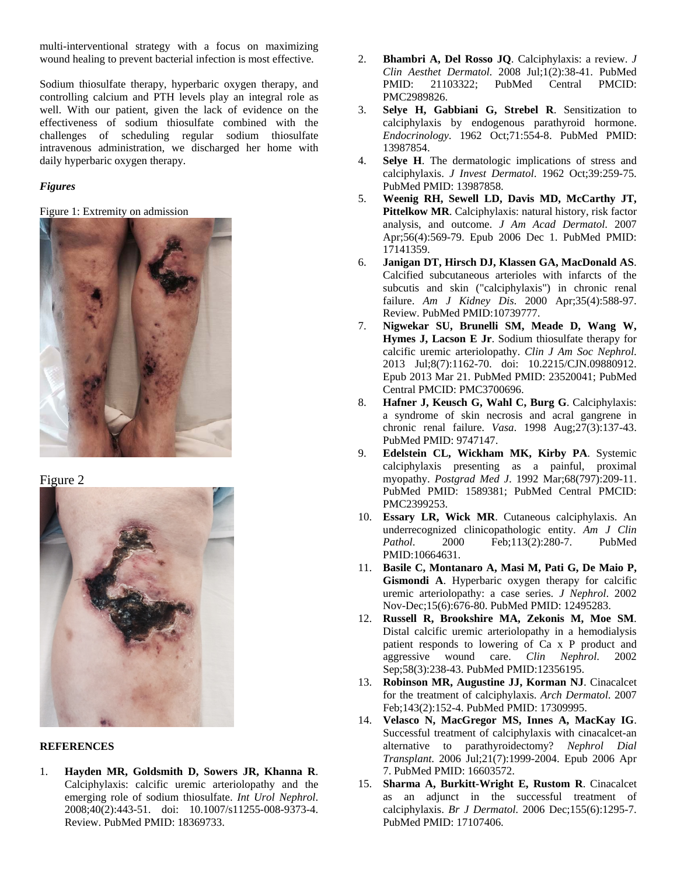multi-interventional strategy with a focus on maximizing wound healing to prevent bacterial infection is most effective.

Sodium thiosulfate therapy, hyperbaric oxygen therapy, and controlling calcium and PTH levels play an integral role as well. With our patient, given the lack of evidence on the effectiveness of sodium thiosulfate combined with the challenges of scheduling regular sodium thiosulfate intravenous administration, we discharged her home with daily hyperbaric oxygen therapy.

#### *Figures*

#### Figure 1: Extremity on admission



Figure 2



#### **REFERENCES**

1. **Hayden MR, Goldsmith D, Sowers JR, Khanna R**. Calciphylaxis: calcific uremic arteriolopathy and the emerging role of sodium thiosulfate. *Int Urol Nephrol*. 2008;40(2):443-51. doi: 10.1007/s11255-008-9373-4. Review. PubMed PMID: 18369733.

- 2. **Bhambri A, Del Rosso JQ**. Calciphylaxis: a review. *J Clin Aesthet Dermatol*. 2008 Jul;1(2):38-41. PubMed PMID: 21103322; PubMed Central PMCID: PMC2989826.
- 3. **Selye H, Gabbiani G, Strebel R**. Sensitization to calciphylaxis by endogenous parathyroid hormone. *Endocrinology*. 1962 Oct;71:554-8. PubMed PMID: 13987854.
- 4. **Selye H**. The dermatologic implications of stress and calciphylaxis. *J Invest Dermatol*. 1962 Oct;39:259-75. PubMed PMID: 13987858.
- 5. **Weenig RH, Sewell LD, Davis MD, McCarthy JT, Pittelkow MR**. Calciphylaxis: natural history, risk factor analysis, and outcome. *J Am Acad Dermatol*. 2007 Apr;56(4):569-79. Epub 2006 Dec 1. PubMed PMID: 17141359.
- 6. **Janigan DT, Hirsch DJ, Klassen GA, MacDonald AS**. Calcified subcutaneous arterioles with infarcts of the subcutis and skin ("calciphylaxis") in chronic renal failure. *Am J Kidney Dis*. 2000 Apr;35(4):588-97. Review. PubMed PMID:10739777.
- 7. **Nigwekar SU, Brunelli SM, Meade D, Wang W, Hymes J, Lacson E Jr**. Sodium thiosulfate therapy for calcific uremic arteriolopathy. *Clin J Am Soc Nephrol*. 2013 Jul;8(7):1162-70. doi: 10.2215/CJN.09880912. Epub 2013 Mar 21. PubMed PMID: 23520041; PubMed Central PMCID: PMC3700696.
- 8. **Hafner J, Keusch G, Wahl C, Burg G**. Calciphylaxis: a syndrome of skin necrosis and acral gangrene in chronic renal failure. *Vasa*. 1998 Aug;27(3):137-43. PubMed PMID: 9747147.
- 9. **Edelstein CL, Wickham MK, Kirby PA**. Systemic calciphylaxis presenting as a painful, proximal myopathy. *Postgrad Med J*. 1992 Mar;68(797):209-11. PubMed PMID: 1589381; PubMed Central PMCID: PMC2399253.
- 10. **Essary LR, Wick MR**. Cutaneous calciphylaxis. An underrecognized clinicopathologic entity. *Am J Clin Pathol*. 2000 Feb;113(2):280-7. PubMed PMID:10664631.
- 11. **Basile C, Montanaro A, Masi M, Pati G, De Maio P, Gismondi A**. Hyperbaric oxygen therapy for calcific uremic arteriolopathy: a case series. *J Nephrol*. 2002 Nov-Dec;15(6):676-80. PubMed PMID: 12495283.
- 12. **Russell R, Brookshire MA, Zekonis M, Moe SM**. Distal calcific uremic arteriolopathy in a hemodialysis patient responds to lowering of Ca x P product and aggressive wound care. *Clin Nephrol*. 2002 Sep;58(3):238-43. PubMed PMID:12356195.
- 13. **Robinson MR, Augustine JJ, Korman NJ**. Cinacalcet for the treatment of calciphylaxis. *Arch Dermatol*. 2007 Feb;143(2):152-4. PubMed PMID: 17309995.
- 14. **Velasco N, MacGregor MS, Innes A, MacKay IG**. Successful treatment of calciphylaxis with cinacalcet-an alternative to parathyroidectomy? *Nephrol Dial Transplant*. 2006 Jul;21(7):1999-2004. Epub 2006 Apr 7. PubMed PMID: 16603572.
- 15. **Sharma A, Burkitt-Wright E, Rustom R**. Cinacalcet as an adjunct in the successful treatment of calciphylaxis. *Br J Dermatol*. 2006 Dec;155(6):1295-7. PubMed PMID: 17107406.